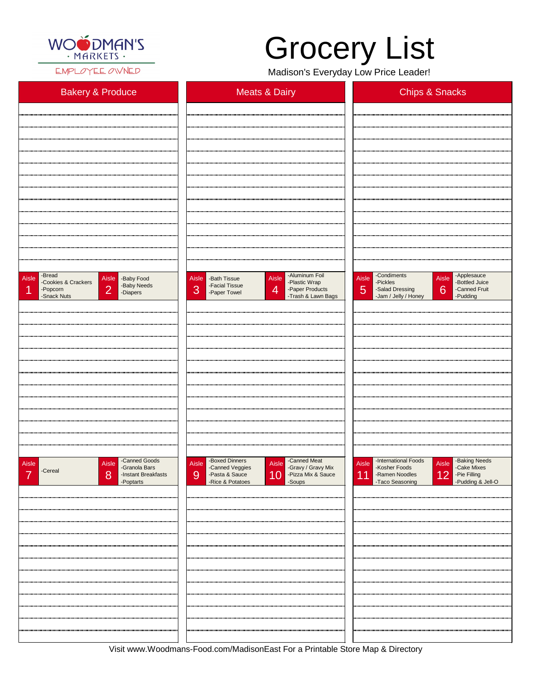

EMPLOYEE OWNED

Visit www.Woodmans-Food.com/MadisonEast For a Printable Store Map & Directory

| <b>Bakery &amp; Produce</b>                                                                                                                | <b>Meats &amp; Dairy</b>                                                                                                                                            | <b>Chips &amp; Snacks</b>                                                                                                                                  |  |  |
|--------------------------------------------------------------------------------------------------------------------------------------------|---------------------------------------------------------------------------------------------------------------------------------------------------------------------|------------------------------------------------------------------------------------------------------------------------------------------------------------|--|--|
|                                                                                                                                            |                                                                                                                                                                     |                                                                                                                                                            |  |  |
|                                                                                                                                            |                                                                                                                                                                     |                                                                                                                                                            |  |  |
|                                                                                                                                            |                                                                                                                                                                     |                                                                                                                                                            |  |  |
|                                                                                                                                            |                                                                                                                                                                     |                                                                                                                                                            |  |  |
|                                                                                                                                            |                                                                                                                                                                     |                                                                                                                                                            |  |  |
|                                                                                                                                            |                                                                                                                                                                     |                                                                                                                                                            |  |  |
|                                                                                                                                            |                                                                                                                                                                     |                                                                                                                                                            |  |  |
|                                                                                                                                            |                                                                                                                                                                     |                                                                                                                                                            |  |  |
|                                                                                                                                            |                                                                                                                                                                     |                                                                                                                                                            |  |  |
|                                                                                                                                            |                                                                                                                                                                     |                                                                                                                                                            |  |  |
|                                                                                                                                            |                                                                                                                                                                     |                                                                                                                                                            |  |  |
| -Bread<br>Aisle<br>Aisle<br>-Baby Food<br>-Cookies & Crackers<br>-Baby Needs<br>$\overline{2}$<br>-Popcorn<br>И<br>-Diapers<br>-Snack Nuts | -Aluminum Foil<br>Aisle<br>Aisle<br>-Bath Tissue<br>-Plastic Wrap<br>-Facial Tissue<br>3<br>$\overline{4}$<br>-Paper Products<br>-Paper Towel<br>-Trash & Lawn Bags | -Condiments<br>Aisle - Applesauce<br>Aisle<br>-Bottled Juice<br>-Pickles<br>6<br>5<br>-Salad Dressing<br>-Canned Fruit<br>-Jam / Jelly / Honey<br>-Pudding |  |  |
|                                                                                                                                            |                                                                                                                                                                     |                                                                                                                                                            |  |  |
|                                                                                                                                            |                                                                                                                                                                     |                                                                                                                                                            |  |  |
|                                                                                                                                            |                                                                                                                                                                     |                                                                                                                                                            |  |  |
|                                                                                                                                            |                                                                                                                                                                     |                                                                                                                                                            |  |  |
|                                                                                                                                            |                                                                                                                                                                     |                                                                                                                                                            |  |  |
|                                                                                                                                            |                                                                                                                                                                     |                                                                                                                                                            |  |  |
|                                                                                                                                            |                                                                                                                                                                     |                                                                                                                                                            |  |  |
|                                                                                                                                            |                                                                                                                                                                     |                                                                                                                                                            |  |  |
|                                                                                                                                            |                                                                                                                                                                     |                                                                                                                                                            |  |  |
|                                                                                                                                            |                                                                                                                                                                     |                                                                                                                                                            |  |  |
| -Canned Goods<br>Aisle<br>Aisle<br>-Granola Bars<br>-Cereal<br>$\rightarrow$                                                               | -Boxed Dinners<br>-Canned Meat<br>Aisle<br>Aisle<br>-Gravy / Gravy Mix<br>-Canned Veggies                                                                           | -International Foods<br>Aisle -Baking Needs<br>-Cake Mixes<br><b>Aisle</b><br>-Kosher Foods<br>$\Lambda$ $\cap$<br>$D = F(0)$                              |  |  |

| -Cerear | -Instant Breakfasts<br>8<br>-Poptarts | -Pasta & Sauce<br>-Rice & Potatoes<br>9 | 10 -Pizza Mix & Sauce | 12 -Pie Filling<br>-Pudding & Jell-O<br> 11 <br>-Ramen Noodles<br>-Taco Seasoning |
|---------|---------------------------------------|-----------------------------------------|-----------------------|-----------------------------------------------------------------------------------|
|         |                                       |                                         |                       |                                                                                   |
|         |                                       |                                         |                       |                                                                                   |
|         |                                       |                                         |                       |                                                                                   |
|         |                                       |                                         |                       |                                                                                   |
|         |                                       |                                         |                       |                                                                                   |
|         |                                       |                                         |                       |                                                                                   |
|         |                                       |                                         |                       |                                                                                   |
|         |                                       |                                         |                       |                                                                                   |
|         |                                       |                                         |                       |                                                                                   |
|         |                                       |                                         |                       |                                                                                   |
|         |                                       |                                         |                       |                                                                                   |
|         |                                       |                                         |                       |                                                                                   |

## Grocery List

Madison's Everyday Low Price Leader!